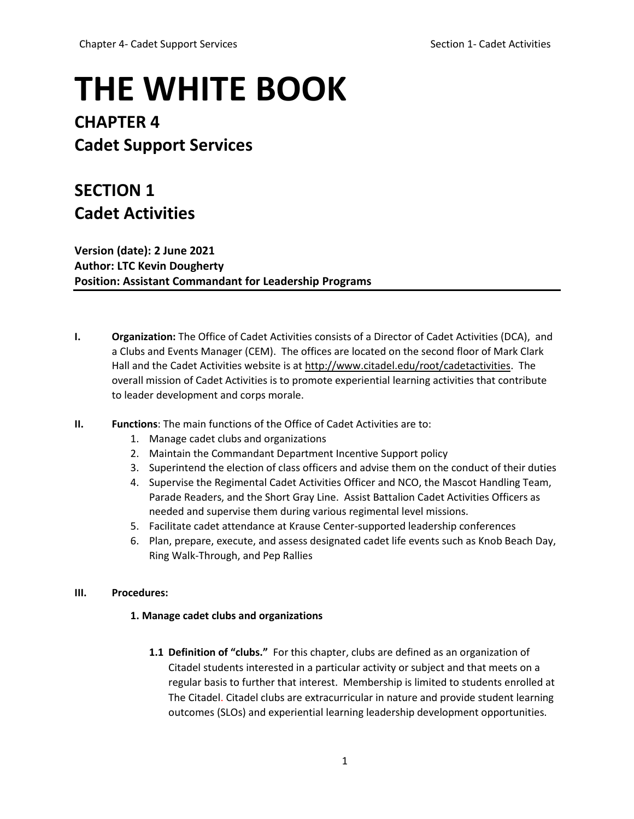# **THE WHITE BOOK**

# **CHAPTER 4 Cadet Support Services**

# **SECTION 1 Cadet Activities**

**Version (date): 2 June 2021 Author: LTC Kevin Dougherty Position: Assistant Commandant for Leadership Programs**

- **I. Organization:** The Office of Cadet Activities consists of a Director of Cadet Activities (DCA), and a Clubs and Events Manager (CEM). The offices are located on the second floor of Mark Clark Hall and the Cadet Activities website is a[t http://www.citadel.edu/root/cadetactivities.](http://www.citadel.edu/root/cadetactivities) The overall mission of Cadet Activities is to promote experiential learning activities that contribute to leader development and corps morale.
- **II. Functions**: The main functions of the Office of Cadet Activities are to:
	- 1. Manage cadet clubs and organizations
	- 2. Maintain the Commandant Department Incentive Support policy
	- 3. Superintend the election of class officers and advise them on the conduct of their duties
	- 4. Supervise the Regimental Cadet Activities Officer and NCO, the Mascot Handling Team, Parade Readers, and the Short Gray Line. Assist Battalion Cadet Activities Officers as needed and supervise them during various regimental level missions.
	- 5. Facilitate cadet attendance at Krause Center-supported leadership conferences
	- 6. Plan, prepare, execute, and assess designated cadet life events such as Knob Beach Day, Ring Walk-Through, and Pep Rallies

# **III. Procedures:**

# **1. Manage cadet clubs and organizations**

**1.1 Definition of "clubs."** For this chapter, clubs are defined as an organization of Citadel students interested in a particular activity or subject and that meets on a regular basis to further that interest. Membership is limited to students enrolled at The Citadel. Citadel clubs are extracurricular in nature and provide student learning outcomes (SLOs) and experiential learning leadership development opportunities.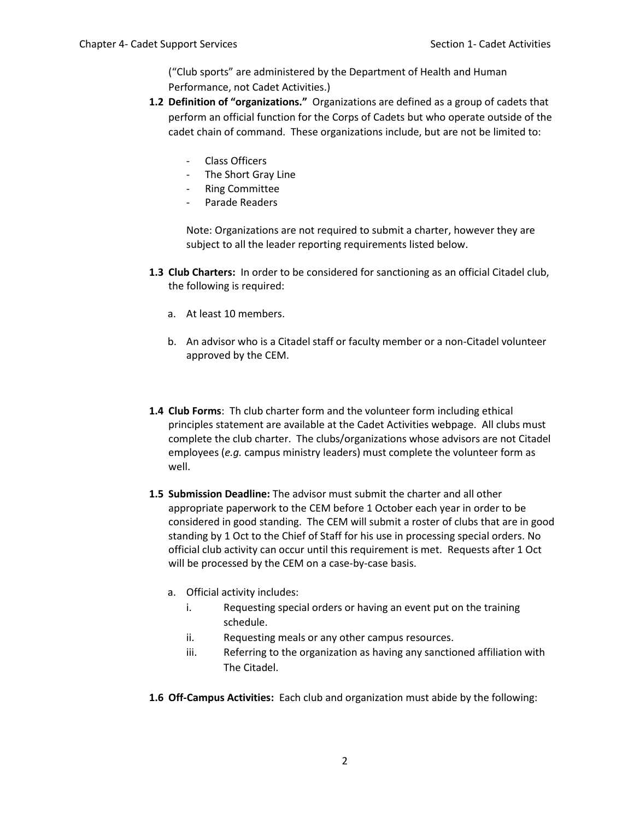("Club sports" are administered by the Department of Health and Human Performance, not Cadet Activities.)

- **1.2 Definition of "organizations."** Organizations are defined as a group of cadets that perform an official function for the Corps of Cadets but who operate outside of the cadet chain of command. These organizations include, but are not be limited to:
	- Class Officers
	- The Short Gray Line
	- Ring Committee
	- Parade Readers

Note: Organizations are not required to submit a charter, however they are subject to all the leader reporting requirements listed below.

- **1.3 Club Charters:** In order to be considered for sanctioning as an official Citadel club, the following is required:
	- a. At least 10 members.
	- b. An advisor who is a Citadel staff or faculty member or a non-Citadel volunteer approved by the CEM.
- **1.4 Club Forms**: Th club charter form and the volunteer form including ethical principles statement are available at the Cadet Activities webpage. All clubs must complete the club charter. The clubs/organizations whose advisors are not Citadel employees (*e.g.* campus ministry leaders) must complete the volunteer form as well.
- **1.5 Submission Deadline:** The advisor must submit the charter and all other appropriate paperwork to the CEM before 1 October each year in order to be considered in good standing. The CEM will submit a roster of clubs that are in good standing by 1 Oct to the Chief of Staff for his use in processing special orders. No official club activity can occur until this requirement is met. Requests after 1 Oct will be processed by the CEM on a case-by-case basis.
	- a. Official activity includes:
		- i. Requesting special orders or having an event put on the training schedule.
		- ii. Requesting meals or any other campus resources.
		- iii. Referring to the organization as having any sanctioned affiliation with The Citadel.
- **1.6 Off-Campus Activities:** Each club and organization must abide by the following: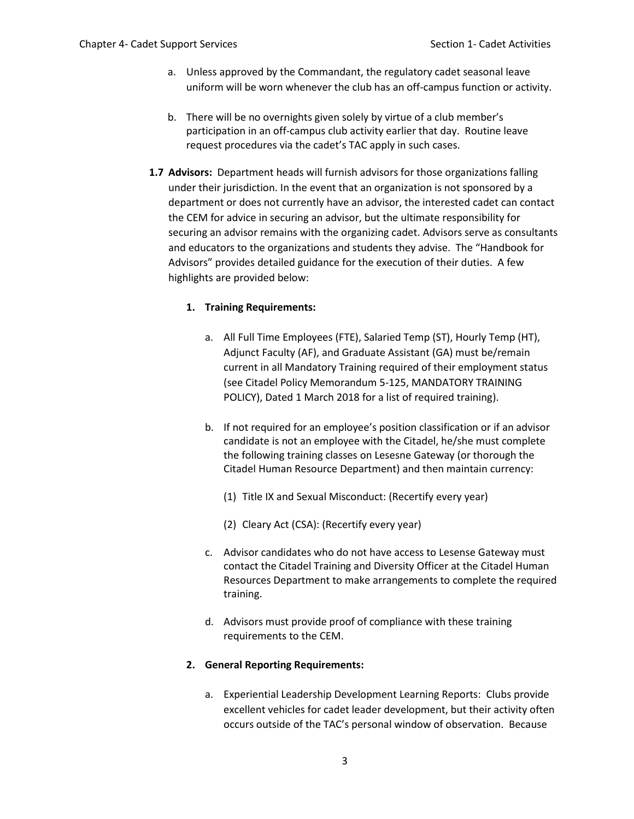- a. Unless approved by the Commandant, the regulatory cadet seasonal leave uniform will be worn whenever the club has an off-campus function or activity.
- b. There will be no overnights given solely by virtue of a club member's participation in an off-campus club activity earlier that day. Routine leave request procedures via the cadet's TAC apply in such cases.
- **1.7 Advisors:** Department heads will furnish advisors for those organizations falling under their jurisdiction. In the event that an organization is not sponsored by a department or does not currently have an advisor, the interested cadet can contact the CEM for advice in securing an advisor, but the ultimate responsibility for securing an advisor remains with the organizing cadet. Advisors serve as consultants and educators to the organizations and students they advise. The "Handbook for Advisors" provides detailed guidance for the execution of their duties. A few highlights are provided below:

# **1. Training Requirements:**

- a. All Full Time Employees (FTE), Salaried Temp (ST), Hourly Temp (HT), Adjunct Faculty (AF), and Graduate Assistant (GA) must be/remain current in all Mandatory Training required of their employment status (see Citadel Policy Memorandum 5-125, MANDATORY TRAINING POLICY), Dated 1 March 2018 for a list of required training).
- b. If not required for an employee's position classification or if an advisor candidate is not an employee with the Citadel, he/she must complete the following training classes on Lesesne Gateway (or thorough the Citadel Human Resource Department) and then maintain currency:
	- (1) Title IX and Sexual Misconduct: (Recertify every year)
	- (2) Cleary Act (CSA): (Recertify every year)
- c. Advisor candidates who do not have access to Lesense Gateway must contact the Citadel Training and Diversity Officer at the Citadel Human Resources Department to make arrangements to complete the required training.
- d. Advisors must provide proof of compliance with these training requirements to the CEM.

# **2. General Reporting Requirements:**

a. Experiential Leadership Development Learning Reports: Clubs provide excellent vehicles for cadet leader development, but their activity often occurs outside of the TAC's personal window of observation. Because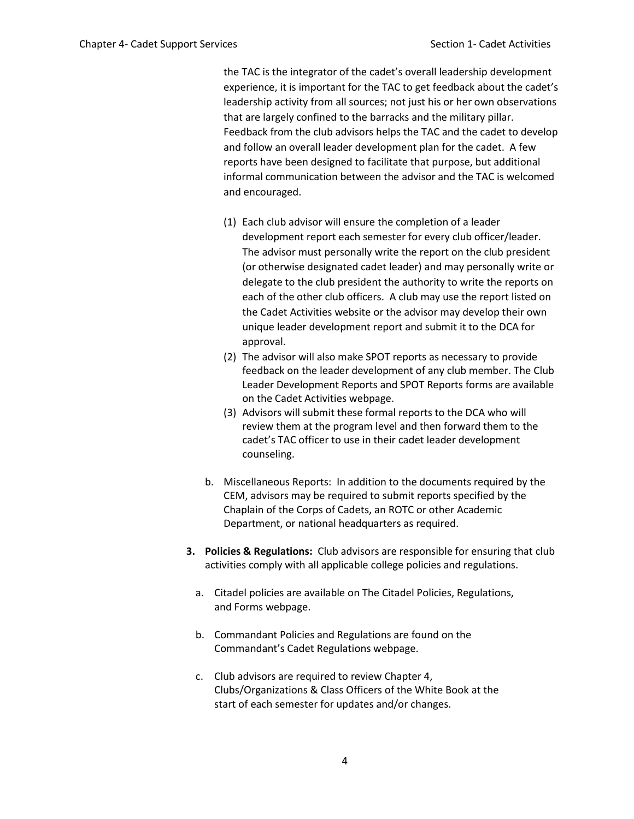the TAC is the integrator of the cadet's overall leadership development experience, it is important for the TAC to get feedback about the cadet's leadership activity from all sources; not just his or her own observations that are largely confined to the barracks and the military pillar. Feedback from the club advisors helps the TAC and the cadet to develop and follow an overall leader development plan for the cadet. A few reports have been designed to facilitate that purpose, but additional informal communication between the advisor and the TAC is welcomed and encouraged.

- (1) Each club advisor will ensure the completion of a leader development report each semester for every club officer/leader. The advisor must personally write the report on the club president (or otherwise designated cadet leader) and may personally write or delegate to the club president the authority to write the reports on each of the other club officers. A club may use the report listed on the Cadet Activities website or the advisor may develop their own unique leader development report and submit it to the DCA for approval.
- (2) The advisor will also make SPOT reports as necessary to provide feedback on the leader development of any club member. The Club Leader Development Reports and SPOT Reports forms are available on the Cadet Activities webpage.
- (3) Advisors will submit these formal reports to the DCA who will review them at the program level and then forward them to the cadet's TAC officer to use in their cadet leader development counseling.
- b. Miscellaneous Reports: In addition to the documents required by the CEM, advisors may be required to submit reports specified by the Chaplain of the Corps of Cadets, an ROTC or other Academic Department, or national headquarters as required.
- **3. Policies & Regulations:** Club advisors are responsible for ensuring that club activities comply with all applicable college policies and regulations.
	- a. Citadel policies are available on The Citadel Policies, Regulations, and Forms webpage.
	- b. Commandant Policies and Regulations are found on the Commandant's Cadet Regulations webpage.
	- c. Club advisors are required to review Chapter 4, Clubs/Organizations & Class Officers of the White Book at the start of each semester for updates and/or changes.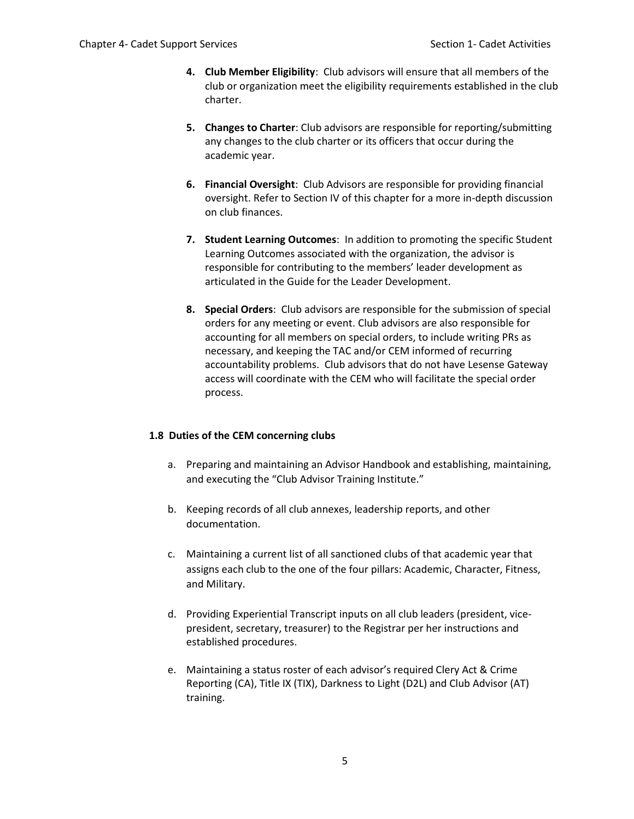- **4. Club Member Eligibility**: Club advisors will ensure that all members of the club or organization meet the eligibility requirements established in the club charter.
- **5. Changes to Charter**: Club advisors are responsible for reporting/submitting any changes to the club charter or its officers that occur during the academic year.
- **6. Financial Oversight**: Club Advisors are responsible for providing financial oversight. Refer to Section IV of this chapter for a more in-depth discussion on club finances.
- **7. Student Learning Outcomes**: In addition to promoting the specific Student Learning Outcomes associated with the organization, the advisor is responsible for contributing to the members' leader development as articulated in the Guide for the Leader Development.
- **8. Special Orders**: Club advisors are responsible for the submission of special orders for any meeting or event. Club advisors are also responsible for accounting for all members on special orders, to include writing PRs as necessary, and keeping the TAC and/or CEM informed of recurring accountability problems. Club advisors that do not have Lesense Gateway access will coordinate with the CEM who will facilitate the special order process.

# **1.8 Duties of the CEM concerning clubs**

- a. Preparing and maintaining an Advisor Handbook and establishing, maintaining, and executing the "Club Advisor Training Institute."
- b. Keeping records of all club annexes, leadership reports, and other documentation.
- c. Maintaining a current list of all sanctioned clubs of that academic year that assigns each club to the one of the four pillars: Academic, Character, Fitness, and Military.
- d. Providing Experiential Transcript inputs on all club leaders (president, vicepresident, secretary, treasurer) to the Registrar per her instructions and established procedures.
- e. Maintaining a status roster of each advisor's required Clery Act & Crime Reporting (CA), Title IX (TIX), Darkness to Light (D2L) and Club Advisor (AT) training.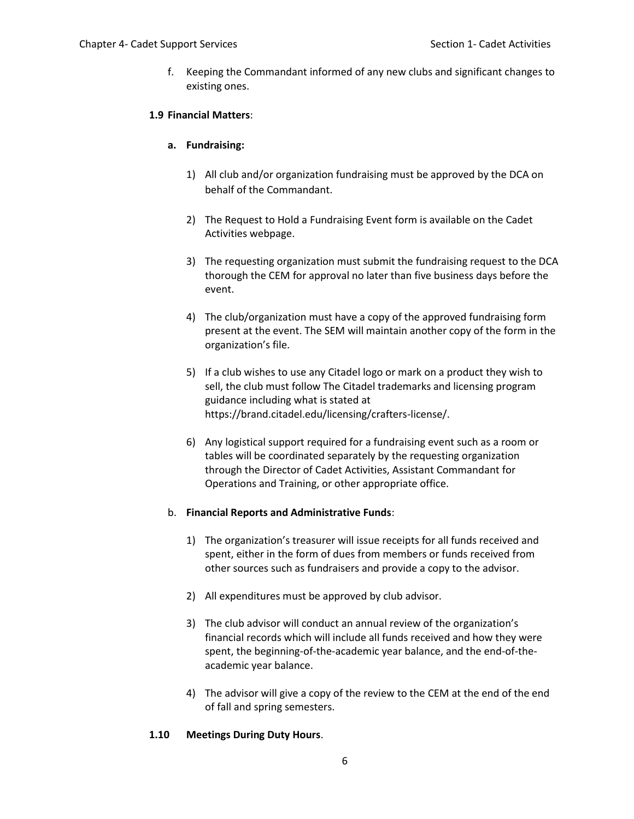f. Keeping the Commandant informed of any new clubs and significant changes to existing ones.

# **1.9 Financial Matters**:

## **a. Fundraising:**

- 1) All club and/or organization fundraising must be approved by the DCA on behalf of the Commandant.
- 2) The Request to Hold a Fundraising Event form is available on the Cadet Activities webpage.
- 3) The requesting organization must submit the fundraising request to the DCA thorough the CEM for approval no later than five business days before the event.
- 4) The club/organization must have a copy of the approved fundraising form present at the event. The SEM will maintain another copy of the form in the organization's file.
- 5) If a club wishes to use any Citadel logo or mark on a product they wish to sell, the club must follow The Citadel trademarks and licensing program guidance including what is stated at https://brand.citadel.edu/licensing/crafters-license/.
- 6) Any logistical support required for a fundraising event such as a room or tables will be coordinated separately by the requesting organization through the Director of Cadet Activities, Assistant Commandant for Operations and Training, or other appropriate office.

# b. **Financial Reports and Administrative Funds**:

- 1) The organization's treasurer will issue receipts for all funds received and spent, either in the form of dues from members or funds received from other sources such as fundraisers and provide a copy to the advisor.
- 2) All expenditures must be approved by club advisor.
- 3) The club advisor will conduct an annual review of the organization's financial records which will include all funds received and how they were spent, the beginning-of-the-academic year balance, and the end-of-theacademic year balance.
- 4) The advisor will give a copy of the review to the CEM at the end of the end of fall and spring semesters.

#### **1.10 Meetings During Duty Hours**.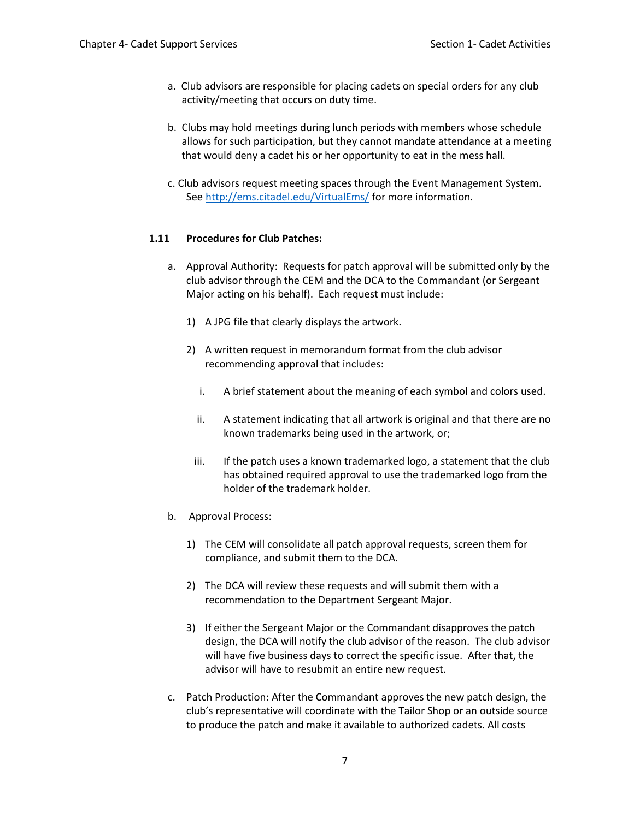- a. Club advisors are responsible for placing cadets on special orders for any club activity/meeting that occurs on duty time.
- b. Clubs may hold meetings during lunch periods with members whose schedule allows for such participation, but they cannot mandate attendance at a meeting that would deny a cadet his or her opportunity to eat in the mess hall.
- c. Club advisors request meeting spaces through the Event Management System. Se[e http://ems.citadel.edu/VirtualEms/](http://ems.citadel.edu/VirtualEms/) for more information.

# **1.11 Procedures for Club Patches:**

- a. Approval Authority: Requests for patch approval will be submitted only by the club advisor through the CEM and the DCA to the Commandant (or Sergeant Major acting on his behalf). Each request must include:
	- 1) A JPG file that clearly displays the artwork.
	- 2) A written request in memorandum format from the club advisor recommending approval that includes:
		- i. A brief statement about the meaning of each symbol and colors used.
		- ii. A statement indicating that all artwork is original and that there are no known trademarks being used in the artwork, or;
		- iii. If the patch uses a known trademarked logo, a statement that the club has obtained required approval to use the trademarked logo from the holder of the trademark holder.
- b. Approval Process:
	- 1) The CEM will consolidate all patch approval requests, screen them for compliance, and submit them to the DCA.
	- 2) The DCA will review these requests and will submit them with a recommendation to the Department Sergeant Major.
	- 3) If either the Sergeant Major or the Commandant disapproves the patch design, the DCA will notify the club advisor of the reason. The club advisor will have five business days to correct the specific issue. After that, the advisor will have to resubmit an entire new request.
- c. Patch Production: After the Commandant approves the new patch design, the club's representative will coordinate with the Tailor Shop or an outside source to produce the patch and make it available to authorized cadets. All costs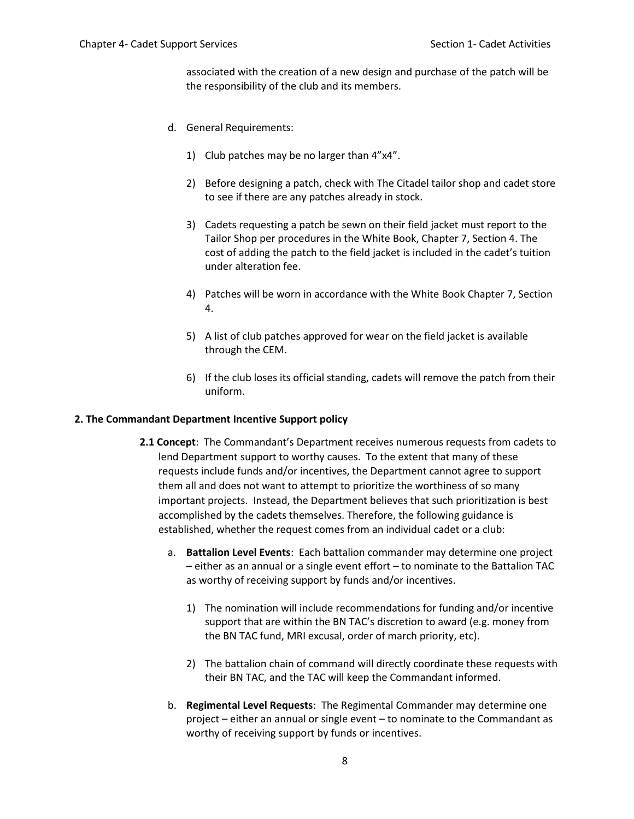associated with the creation of a new design and purchase of the patch will be the responsibility of the club and its members.

- d. General Requirements:
	- 1) Club patches may be no larger than 4"x4".
	- 2) Before designing a patch, check with The Citadel tailor shop and cadet store to see if there are any patches already in stock.
	- 3) Cadets requesting a patch be sewn on their field jacket must report to the Tailor Shop per procedures in the White Book, Chapter 7, Section 4. The cost of adding the patch to the field jacket is included in the cadet's tuition under alteration fee.
	- 4) Patches will be worn in accordance with the White Book Chapter 7, Section 4.
	- 5) A list of club patches approved for wear on the field jacket is available through the CEM.
	- 6) If the club loses its official standing, cadets will remove the patch from their uniform.

#### **2. The Commandant Department Incentive Support policy**

- **2.1 Concept**: The Commandant's Department receives numerous requests from cadets to lend Department support to worthy causes. To the extent that many of these requests include funds and/or incentives, the Department cannot agree to support them all and does not want to attempt to prioritize the worthiness of so many important projects. Instead, the Department believes that such prioritization is best accomplished by the cadets themselves. Therefore, the following guidance is established, whether the request comes from an individual cadet or a club:
	- a. **Battalion Level Events**: Each battalion commander may determine one project – either as an annual or a single event effort – to nominate to the Battalion TAC as worthy of receiving support by funds and/or incentives.
		- 1) The nomination will include recommendations for funding and/or incentive support that are within the BN TAC's discretion to award (e.g. money from the BN TAC fund, MRI excusal, order of march priority, etc).
		- 2) The battalion chain of command will directly coordinate these requests with their BN TAC, and the TAC will keep the Commandant informed.
	- b. **Regimental Level Requests**: The Regimental Commander may determine one project – either an annual or single event – to nominate to the Commandant as worthy of receiving support by funds or incentives.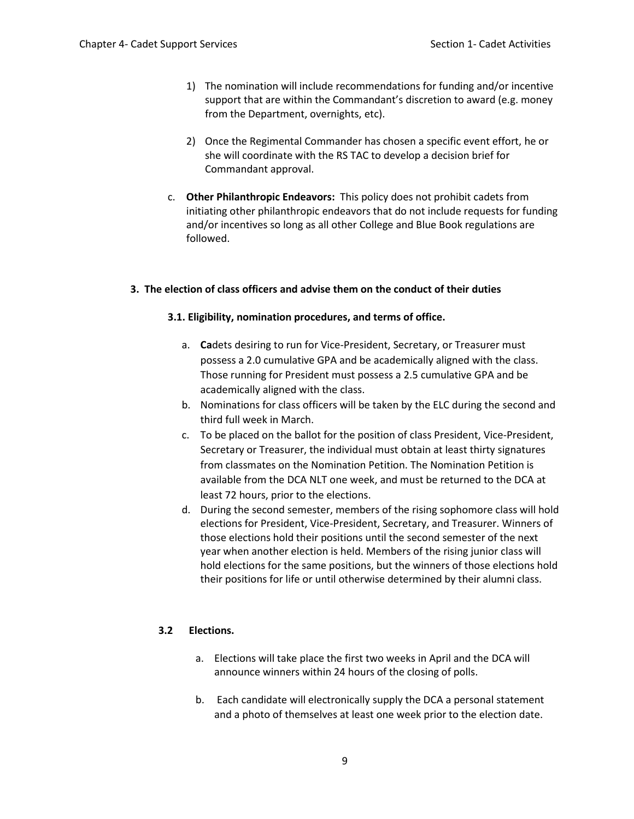- 1) The nomination will include recommendations for funding and/or incentive support that are within the Commandant's discretion to award (e.g. money from the Department, overnights, etc).
- 2) Once the Regimental Commander has chosen a specific event effort, he or she will coordinate with the RS TAC to develop a decision brief for Commandant approval.
- c. **Other Philanthropic Endeavors:** This policy does not prohibit cadets from initiating other philanthropic endeavors that do not include requests for funding and/or incentives so long as all other College and Blue Book regulations are followed.

# **3. The election of class officers and advise them on the conduct of their duties**

# **3.1. Eligibility, nomination procedures, and terms of office.**

- a. **Ca**dets desiring to run for Vice-President, Secretary, or Treasurer must possess a 2.0 cumulative GPA and be academically aligned with the class. Those running for President must possess a 2.5 cumulative GPA and be academically aligned with the class.
- b. Nominations for class officers will be taken by the ELC during the second and third full week in March.
- c. To be placed on the ballot for the position of class President, Vice-President, Secretary or Treasurer, the individual must obtain at least thirty signatures from classmates on the Nomination Petition. The Nomination Petition is available from the DCA NLT one week, and must be returned to the DCA at least 72 hours, prior to the elections.
- d. During the second semester, members of the rising sophomore class will hold elections for President, Vice-President, Secretary, and Treasurer. Winners of those elections hold their positions until the second semester of the next year when another election is held. Members of the rising junior class will hold elections for the same positions, but the winners of those elections hold their positions for life or until otherwise determined by their alumni class.

# **3.2 Elections.**

- a. Elections will take place the first two weeks in April and the DCA will announce winners within 24 hours of the closing of polls.
- b. Each candidate will electronically supply the DCA a personal statement and a photo of themselves at least one week prior to the election date.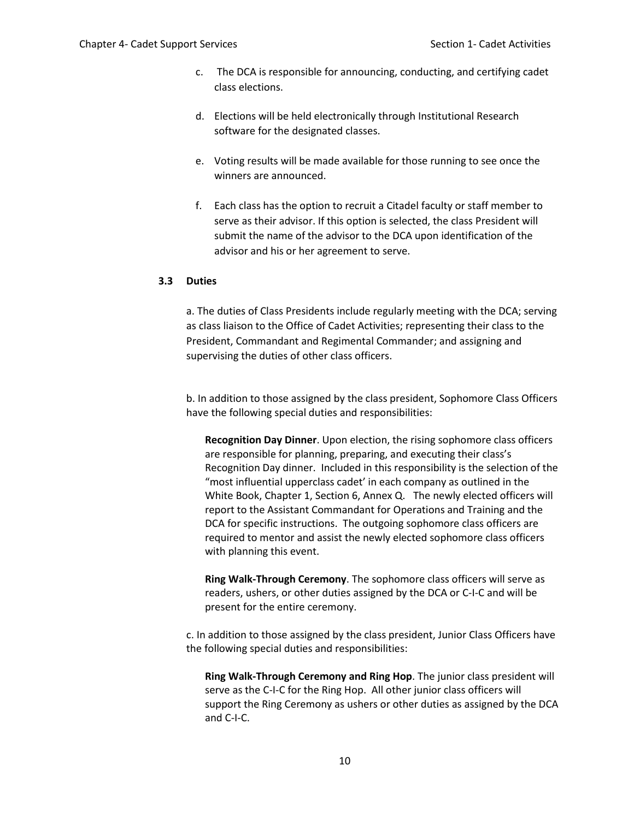- c. The DCA is responsible for announcing, conducting, and certifying cadet class elections.
- d. Elections will be held electronically through Institutional Research software for the designated classes.
- e. Voting results will be made available for those running to see once the winners are announced.
- f. Each class has the option to recruit a Citadel faculty or staff member to serve as their advisor. If this option is selected, the class President will submit the name of the advisor to the DCA upon identification of the advisor and his or her agreement to serve.

#### **3.3 Duties**

a. The duties of Class Presidents include regularly meeting with the DCA; serving as class liaison to the Office of Cadet Activities; representing their class to the President, Commandant and Regimental Commander; and assigning and supervising the duties of other class officers.

b. In addition to those assigned by the class president, Sophomore Class Officers have the following special duties and responsibilities:

**Recognition Day Dinner**. Upon election, the rising sophomore class officers are responsible for planning, preparing, and executing their class's Recognition Day dinner. Included in this responsibility is the selection of the "most influential upperclass cadet' in each company as outlined in the White Book, Chapter 1, Section 6, Annex Q. The newly elected officers will report to the Assistant Commandant for Operations and Training and the DCA for specific instructions. The outgoing sophomore class officers are required to mentor and assist the newly elected sophomore class officers with planning this event.

**Ring Walk-Through Ceremony**. The sophomore class officers will serve as readers, ushers, or other duties assigned by the DCA or C-I-C and will be present for the entire ceremony.

c. In addition to those assigned by the class president, Junior Class Officers have the following special duties and responsibilities:

**Ring Walk-Through Ceremony and Ring Hop**. The junior class president will serve as the C-I-C for the Ring Hop. All other junior class officers will support the Ring Ceremony as ushers or other duties as assigned by the DCA and C-I-C.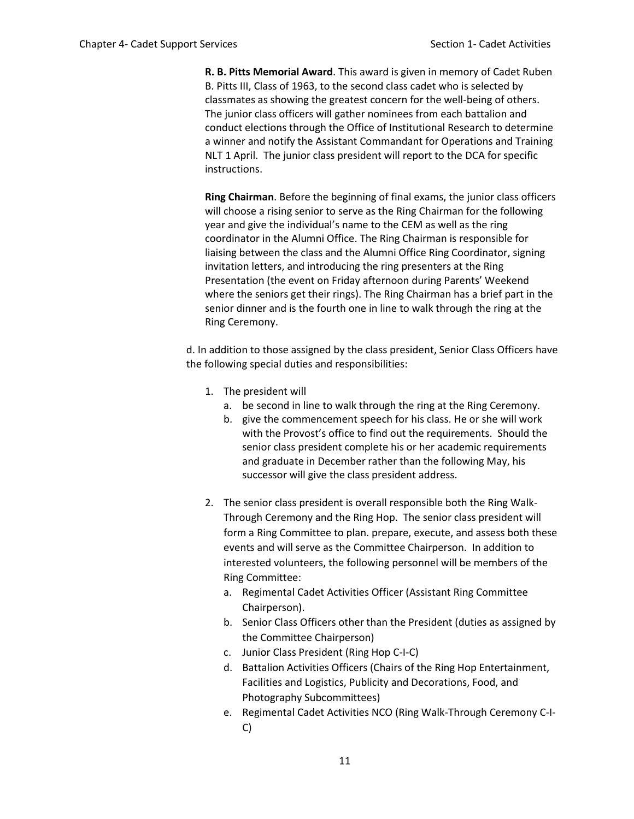**R. B. Pitts Memorial Award**. This award is given in memory of Cadet Ruben B. Pitts III, Class of 1963, to the second class cadet who is selected by classmates as showing the greatest concern for the well-being of others. The junior class officers will gather nominees from each battalion and conduct elections through the Office of Institutional Research to determine a winner and notify the Assistant Commandant for Operations and Training NLT 1 April. The junior class president will report to the DCA for specific instructions.

**Ring Chairman**. Before the beginning of final exams, the junior class officers will choose a rising senior to serve as the Ring Chairman for the following year and give the individual's name to the CEM as well as the ring coordinator in the Alumni Office. The Ring Chairman is responsible for liaising between the class and the Alumni Office Ring Coordinator, signing invitation letters, and introducing the ring presenters at the Ring Presentation (the event on Friday afternoon during Parents' Weekend where the seniors get their rings). The Ring Chairman has a brief part in the senior dinner and is the fourth one in line to walk through the ring at the Ring Ceremony.

d. In addition to those assigned by the class president, Senior Class Officers have the following special duties and responsibilities:

- 1. The president will
	- a. be second in line to walk through the ring at the Ring Ceremony.
	- b. give the commencement speech for his class. He or she will work with the Provost's office to find out the requirements. Should the senior class president complete his or her academic requirements and graduate in December rather than the following May, his successor will give the class president address.
- 2. The senior class president is overall responsible both the Ring Walk-Through Ceremony and the Ring Hop. The senior class president will form a Ring Committee to plan. prepare, execute, and assess both these events and will serve as the Committee Chairperson. In addition to interested volunteers, the following personnel will be members of the Ring Committee:
	- a. Regimental Cadet Activities Officer (Assistant Ring Committee Chairperson).
	- b. Senior Class Officers other than the President (duties as assigned by the Committee Chairperson)
	- c. Junior Class President (Ring Hop C-I-C)
	- d. Battalion Activities Officers (Chairs of the Ring Hop Entertainment, Facilities and Logistics, Publicity and Decorations, Food, and Photography Subcommittees)
	- e. Regimental Cadet Activities NCO (Ring Walk-Through Ceremony C-I-C)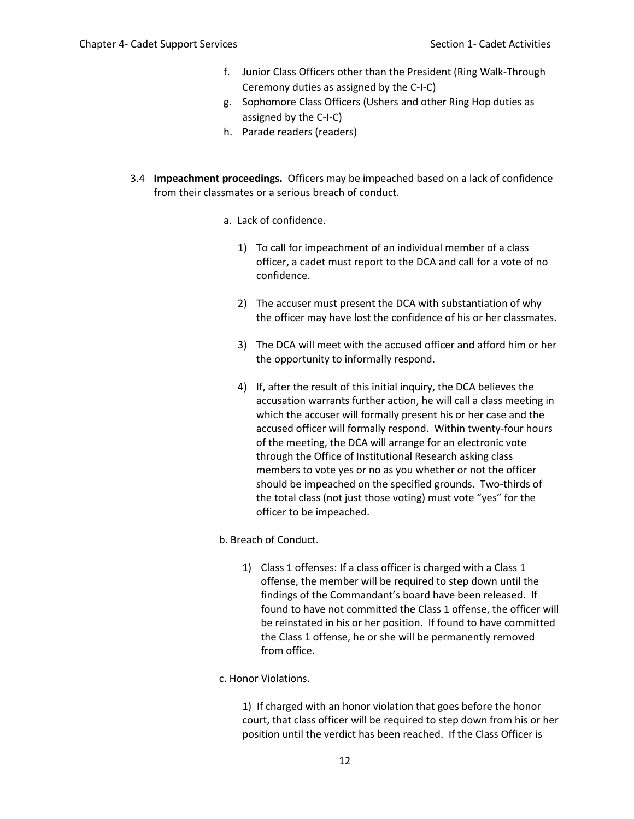- f. Junior Class Officers other than the President (Ring Walk-Through Ceremony duties as assigned by the C-I-C)
- g. Sophomore Class Officers (Ushers and other Ring Hop duties as assigned by the C-I-C)
- h. Parade readers (readers)
- 3.4 **Impeachment proceedings.** Officers may be impeached based on a lack of confidence from their classmates or a serious breach of conduct.
	- a. Lack of confidence.
		- 1) To call for impeachment of an individual member of a class officer, a cadet must report to the DCA and call for a vote of no confidence.
		- 2) The accuser must present the DCA with substantiation of why the officer may have lost the confidence of his or her classmates.
		- 3) The DCA will meet with the accused officer and afford him or her the opportunity to informally respond.
		- 4) If, after the result of this initial inquiry, the DCA believes the accusation warrants further action, he will call a class meeting in which the accuser will formally present his or her case and the accused officer will formally respond. Within twenty-four hours of the meeting, the DCA will arrange for an electronic vote through the Office of Institutional Research asking class members to vote yes or no as you whether or not the officer should be impeached on the specified grounds. Two-thirds of the total class (not just those voting) must vote "yes" for the officer to be impeached.
	- b. Breach of Conduct.
		- 1) Class 1 offenses: If a class officer is charged with a Class 1 offense, the member will be required to step down until the findings of the Commandant's board have been released. If found to have not committed the Class 1 offense, the officer will be reinstated in his or her position. If found to have committed the Class 1 offense, he or she will be permanently removed from office.
	- c. Honor Violations.

1) If charged with an honor violation that goes before the honor court, that class officer will be required to step down from his or her position until the verdict has been reached. If the Class Officer is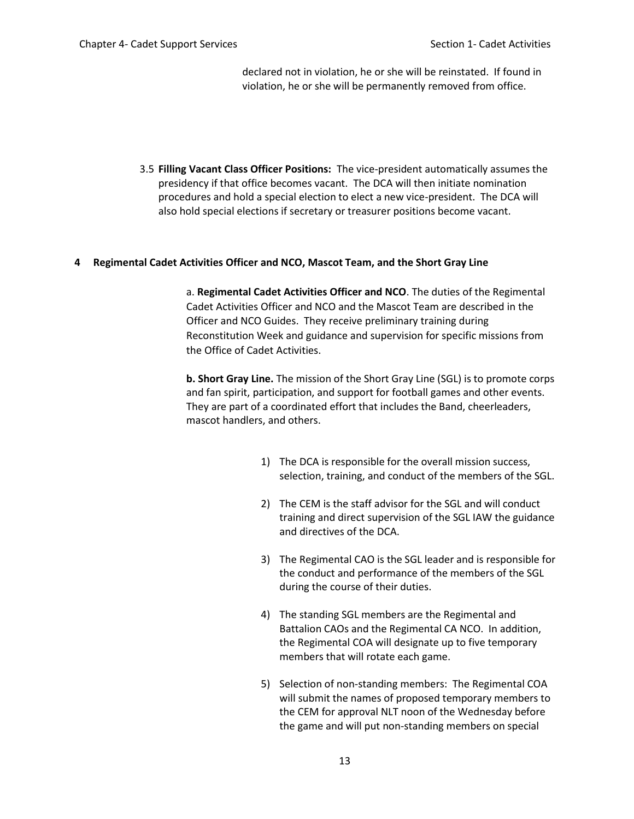declared not in violation, he or she will be reinstated. If found in violation, he or she will be permanently removed from office.

3.5 **Filling Vacant Class Officer Positions:** The vice-president automatically assumes the presidency if that office becomes vacant. The DCA will then initiate nomination procedures and hold a special election to elect a new vice-president. The DCA will also hold special elections if secretary or treasurer positions become vacant.

#### **4 Regimental Cadet Activities Officer and NCO, Mascot Team, and the Short Gray Line**

a. **Regimental Cadet Activities Officer and NCO**. The duties of the Regimental Cadet Activities Officer and NCO and the Mascot Team are described in the Officer and NCO Guides. They receive preliminary training during Reconstitution Week and guidance and supervision for specific missions from the Office of Cadet Activities.

**b. Short Gray Line.** The mission of the Short Gray Line (SGL) is to promote corps and fan spirit, participation, and support for football games and other events. They are part of a coordinated effort that includes the Band, cheerleaders, mascot handlers, and others.

- 1) The DCA is responsible for the overall mission success, selection, training, and conduct of the members of the SGL.
- 2) The CEM is the staff advisor for the SGL and will conduct training and direct supervision of the SGL IAW the guidance and directives of the DCA.
- 3) The Regimental CAO is the SGL leader and is responsible for the conduct and performance of the members of the SGL during the course of their duties.
- 4) The standing SGL members are the Regimental and Battalion CAOs and the Regimental CA NCO. In addition, the Regimental COA will designate up to five temporary members that will rotate each game.
- 5) Selection of non-standing members: The Regimental COA will submit the names of proposed temporary members to the CEM for approval NLT noon of the Wednesday before the game and will put non-standing members on special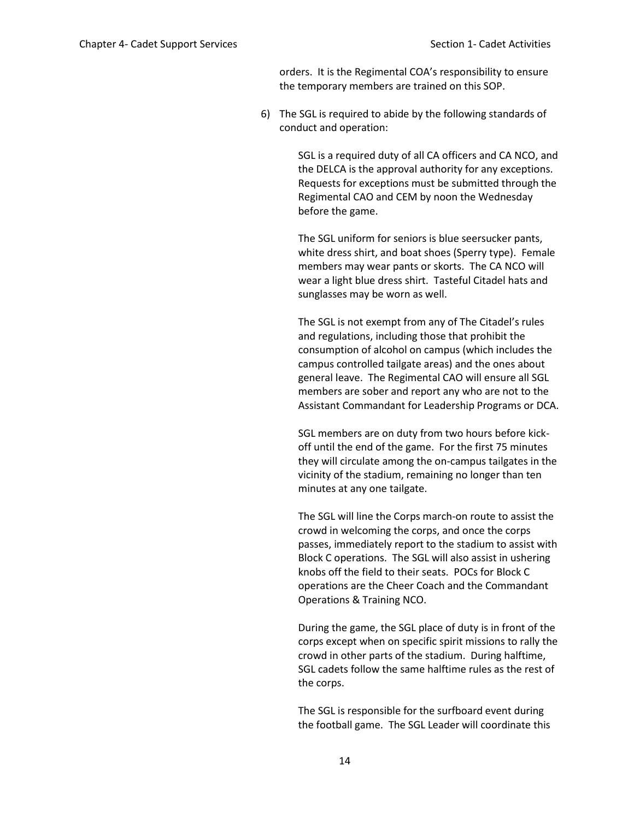orders. It is the Regimental COA's responsibility to ensure the temporary members are trained on this SOP.

6) The SGL is required to abide by the following standards of conduct and operation:

> SGL is a required duty of all CA officers and CA NCO, and the DELCA is the approval authority for any exceptions. Requests for exceptions must be submitted through the Regimental CAO and CEM by noon the Wednesday before the game.

> The SGL uniform for seniors is blue seersucker pants, white dress shirt, and boat shoes (Sperry type). Female members may wear pants or skorts. The CA NCO will wear a light blue dress shirt. Tasteful Citadel hats and sunglasses may be worn as well.

The SGL is not exempt from any of The Citadel's rules and regulations, including those that prohibit the consumption of alcohol on campus (which includes the campus controlled tailgate areas) and the ones about general leave. The Regimental CAO will ensure all SGL members are sober and report any who are not to the Assistant Commandant for Leadership Programs or DCA.

SGL members are on duty from two hours before kickoff until the end of the game. For the first 75 minutes they will circulate among the on-campus tailgates in the vicinity of the stadium, remaining no longer than ten minutes at any one tailgate.

The SGL will line the Corps march-on route to assist the crowd in welcoming the corps, and once the corps passes, immediately report to the stadium to assist with Block C operations. The SGL will also assist in ushering knobs off the field to their seats. POCs for Block C operations are the Cheer Coach and the Commandant Operations & Training NCO.

During the game, the SGL place of duty is in front of the corps except when on specific spirit missions to rally the crowd in other parts of the stadium. During halftime, SGL cadets follow the same halftime rules as the rest of the corps.

The SGL is responsible for the surfboard event during the football game. The SGL Leader will coordinate this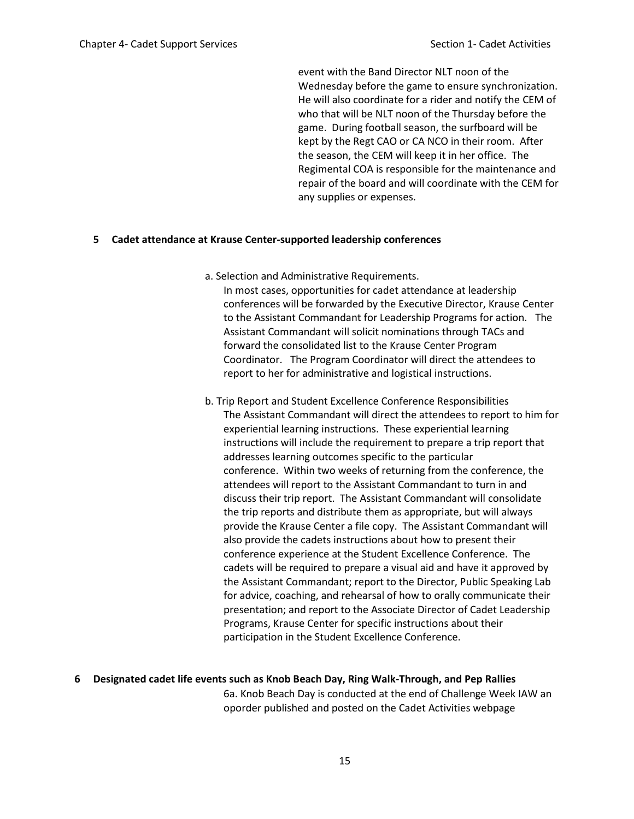event with the Band Director NLT noon of the Wednesday before the game to ensure synchronization. He will also coordinate for a rider and notify the CEM of who that will be NLT noon of the Thursday before the game. During football season, the surfboard will be kept by the Regt CAO or CA NCO in their room. After the season, the CEM will keep it in her office. The Regimental COA is responsible for the maintenance and repair of the board and will coordinate with the CEM for any supplies or expenses.

#### **5 Cadet attendance at Krause Center-supported leadership conferences**

a. Selection and Administrative Requirements.

In most cases, opportunities for cadet attendance at leadership conferences will be forwarded by the Executive Director, Krause Center to the Assistant Commandant for Leadership Programs for action. The Assistant Commandant will solicit nominations through TACs and forward the consolidated list to the Krause Center Program Coordinator. The Program Coordinator will direct the attendees to report to her for administrative and logistical instructions.

b. Trip Report and Student Excellence Conference Responsibilities The Assistant Commandant will direct the attendees to report to him for experiential learning instructions. These experiential learning instructions will include the requirement to prepare a trip report that addresses learning outcomes specific to the particular conference. Within two weeks of returning from the conference, the attendees will report to the Assistant Commandant to turn in and discuss their trip report. The Assistant Commandant will consolidate the trip reports and distribute them as appropriate, but will always provide the Krause Center a file copy. The Assistant Commandant will also provide the cadets instructions about how to present their conference experience at the Student Excellence Conference. The cadets will be required to prepare a visual aid and have it approved by the Assistant Commandant; report to the Director, Public Speaking Lab for advice, coaching, and rehearsal of how to orally communicate their presentation; and report to the Associate Director of Cadet Leadership Programs, Krause Center for specific instructions about their participation in the Student Excellence Conference.

#### **6 Designated cadet life events such as Knob Beach Day, Ring Walk-Through, and Pep Rallies** 6a. Knob Beach Day is conducted at the end of Challenge Week IAW an

oporder published and posted on the Cadet Activities webpage